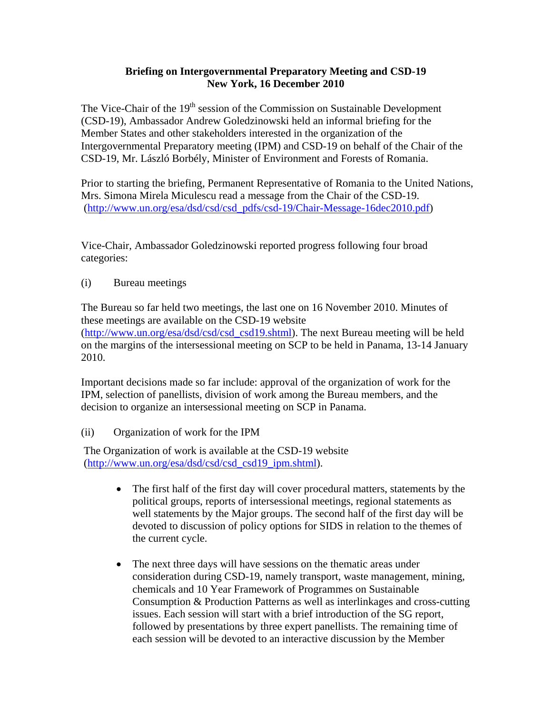## **Briefing on Intergovernmental Preparatory Meeting and CSD-19 New York, 16 December 2010**

The Vice-Chair of the  $19<sup>th</sup>$  session of the Commission on Sustainable Development (CSD-19), Ambassador Andrew Goledzinowski held an informal briefing for the Member States and other stakeholders interested in the organization of the Intergovernmental Preparatory meeting (IPM) and CSD-19 on behalf of the Chair of the CSD-19, Mr. László Borbély, Minister of Environment and Forests of Romania.

Prior to starting the briefing, Permanent Representative of Romania to the United Nations, Mrs. Simona Mirela Miculescu read a message from the Chair of the CSD-19. ([http://www.un.org/esa/dsd/csd/csd\\_pdfs/csd-19/Chair-Message-16dec2010.pdf\)](http://www.un.org/esa/dsd/csd/csd_pdfs/csd-19/Chair-Message-16dec2010.pdf)

Vice-Chair, Ambassador Goledzinowski reported progress following four broad categories:

(i) Bureau meetings

The Bureau so far held two meetings, the last one on 16 November 2010. Minutes of these meetings are available on the CSD-19 website ([http://www.un.org/esa/dsd/csd/csd\\_csd19.shtml\)](http://www.un.org/esa/dsd/csd/csd_csd19.shtml). The next Bureau meeting will be held on the margins of the intersessional meeting on SCP to be held in Panama, 13-14 January 2010.

Important decisions made so far include: approval of the organization of work for the IPM, selection of panellists, division of work among the Bureau members, and the decision to organize an intersessional meeting on SCP in Panama.

(ii) Organization of work for the IPM

The Organization of work is available at the CSD-19 website ([http://www.un.org/esa/dsd/csd/csd\\_csd19\\_ipm.shtml](http://www.un.org/esa/dsd/csd/csd_csd19_ipm.shtml)).

- The first half of the first day will cover procedural matters, statements by the political groups, reports of intersessional meetings, regional statements as well statements by the Major groups. The second half of the first day will be devoted to discussion of policy options for SIDS in relation to the themes of the current cycle.
- The next three days will have sessions on the thematic areas under consideration during CSD-19, namely transport, waste management, mining, chemicals and [10 Year Framework of Programmes on Sustainable](http://www.un.org/esa/dsd/dsd_aofw_scpp/scpp_tenyearframprog.shtml)  [Consumption & Production Patterns](http://www.un.org/esa/dsd/dsd_aofw_scpp/scpp_tenyearframprog.shtml) as well as interlinkages and cross-cutting issues. Each session will start with a brief introduction of the SG report, followed by presentations by three expert panellists. The remaining time of each session will be devoted to an interactive discussion by the Member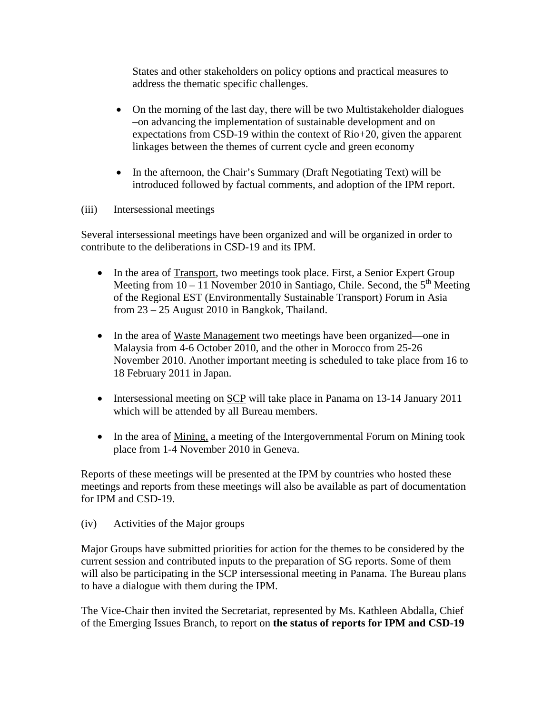States and other stakeholders on policy options and practical measures to address the thematic specific challenges.

- On the morning of the last day, there will be two Multistakeholder dialogues –on advancing the implementation of sustainable development and on expectations from CSD-19 within the context of Rio+20, given the apparent linkages between the themes of current cycle and green economy
- In the afternoon, the Chair's Summary (Draft Negotiating Text) will be introduced followed by factual comments, and adoption of the IPM report.
- (iii) Intersessional meetings

Several intersessional meetings have been organized and will be organized in order to contribute to the deliberations in CSD-19 and its IPM.

- In the area of Transport, two meetings took place. First, a Senior Expert Group Meeting from  $10 - 11$  November 2010 in Santiago, Chile. Second, the  $5<sup>th</sup>$  Meeting of the Regional EST (Environmentally Sustainable Transport) Forum in Asia from 23 – 25 August 2010 in Bangkok, Thailand.
- In the area of Waste Management two meetings have been organized—one in Malaysia from 4-6 October 2010, and the other in Morocco from 25-26 November 2010. Another important meeting is scheduled to take place from 16 to 18 February 2011 in Japan.
- Intersessional meeting on SCP will take place in Panama on 13-14 January 2011 which will be attended by all Bureau members.
- In the area of Mining, a meeting of the Intergovernmental Forum on Mining took place from 1-4 November 2010 in Geneva.

Reports of these meetings will be presented at the IPM by countries who hosted these meetings and reports from these meetings will also be available as part of documentation for IPM and CSD-19.

(iv) Activities of the Major groups

Major Groups have submitted priorities for action for the themes to be considered by the current session and contributed inputs to the preparation of SG reports. Some of them will also be participating in the SCP intersessional meeting in Panama. The Bureau plans to have a dialogue with them during the IPM.

The Vice-Chair then invited the Secretariat, represented by Ms. Kathleen Abdalla, Chief of the Emerging Issues Branch, to report on **the status of reports for IPM and CSD-19**